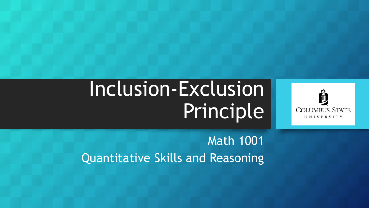# Inclusion-Exclusion Principle



Math 1001 Quantitative Skills and Reasoning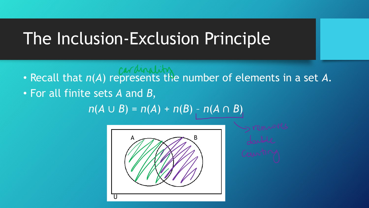## The Inclusion-Exclusion Principle

- **FACILITY CALLISTS · Recall that** *n***(***A***) represents the number of elements in a set A.**
- For all finite sets *A* and *B*,

*n*(*A* ∪ *B*) = *n*(*A*) + *n*(*B*) – *n*(*A* ∩ *B*)

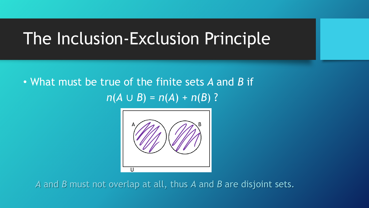## The Inclusion-Exclusion Principle

• What must be true of the finite sets *A* and *B* if  $n(A \cup B) = n(A) + n(B)$  ?



*A* and *B* must not overlap at all, thus *A* and *B* are disjoint sets.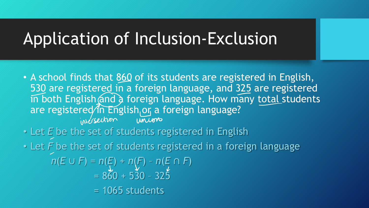## Application of Inclusion-Exclusion

- A school finds that 860 of its students are registered in English, 530 are registered in a foreign language, and 325 are registered in both English and a foreign language. How many total students are registered in English or a foreign language?
- Let *E* be the set of students registered in English

• Let *F* be the set of students registered in a foreign language

*n*(*E* ∪ *F*) = *n*(*E*) + *n*(*F*) – *n*(*E* ∩ *F*) = 860 + 530 – 325

 $= 1065$  students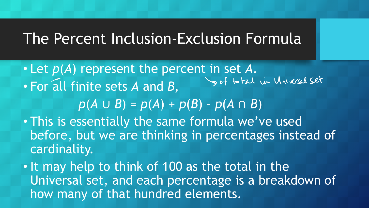#### The Percent Inclusion-Exclusion Formula

• Let *p*(*A*) represent the percent in set *A*. • For all finite sets *A* and *B*,

*p*(*A* ∪ *B*) = *p*(*A*) + *p*(*B*) – *p*(*A* ∩ *B*)

- This is essentially the same formula we've used before, but we are thinking in percentages instead of cardinality.
- It may help to think of 100 as the total in the Universal set, and each percentage is a breakdown of how many of that hundred elements.